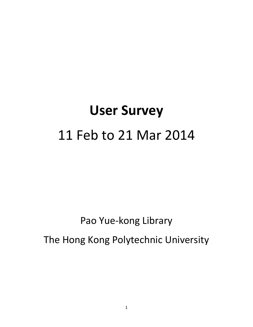# **User Survey** 11 Feb to 21 Mar 2014

Pao Yue-kong Library

The Hong Kong Polytechnic University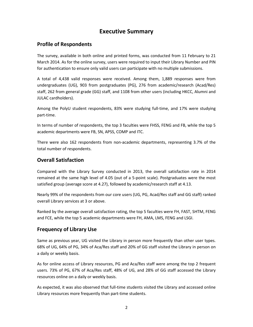# **Executive Summary**

#### **Profile of Respondents**

The survey, available in both online and printed forms, was conducted from 11 February to 21 March 2014. As for the online survey, users were required to input their Library Number and PIN for authentication to ensure only valid users can participate with no multiple submissions.

A total of 4,438 valid responses were received. Among them, 1,889 responses were from undergraduates (UG), 903 from postgraduates (PG), 276 from academic/research (Acad/Res) staff, 262 from general grade (GG) staff, and 1108 from other users (including HKCC, Alumni and JULAC cardholders).

Among the PolyU student respondents, 83% were studying full-time, and 17% were studying part-time.

In terms of number of respondents, the top 3 faculties were FHSS, FENG and FB, while the top 5 academic departments were FB, SN, APSS, COMP and ITC.

There were also 162 respondents from non-academic departments, representing 3.7% of the total number of respondents.

#### **Overall Satisfaction**

Compared with the Library Survey conducted in 2013, the overall satisfaction rate in 2014 remained at the same high level of 4.05 (out of a 5-point scale). Postgraduates were the most satisfied group (average score at 4.27), followed by academic/research staff at 4.13.

Nearly 99% of the respondents from our core users (UG, PG, Acad/Res staff and GG staff) ranked overall Library services at 3 or above.

Ranked by the average overall satisfaction rating, the top 5 faculties were FH, FAST, SHTM, FENG and FCE, while the top 5 academic departments were FH, AMA, LMS, FENG and LSGI.

## **Frequency of Library Use**

Same as previous year, UG visited the Library in person more frequently than other user types. 68% of UG, 64% of PG, 34% of Aca/Res staff and 20% of GG staff visited the Library in person on a daily or weekly basis.

As for online access of Library resources, PG and Aca/Res staff were among the top 2 frequent users. 73% of PG, 67% of Aca/Res staff, 48% of UG, and 28% of GG staff accessed the Library resources online on a daily or weekly basis.

As expected, it was also observed that full-time students visited the Library and accessed online Library resources more frequently than part-time students.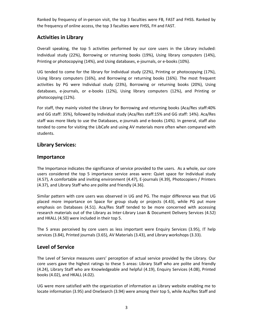Ranked by frequency of in-person visit, the top 3 faculties were FB, FAST and FHSS. Ranked by the frequency of online access, the top 3 faculties were FHSS, FH and FAST.

#### **Activities in Library**

Overall speaking, the top 5 activities performed by our core users in the Library included: Individual study (22%), Borrowing or returning books (19%), Using library computers (14%), Printing or photocopying (14%), and Using databases, e-journals, or e-books (10%).

UG tended to come for the library for Individual study (22%), Printing or photocopying (17%), Using library computers (16%), and Borrowing or returning books (16%). The most frequent activities by PG were Individual study (23%), Borrowing or returning books (20%), Using databases, e-journals, or e-books (12%), Using library computers (12%), and Printing or photocopying (12%).

For staff, they mainly visited the Library for Borrowing and returning books (Aca/Res staff:40% and GG staff: 35%), followed by Individual study (Aca/Res staff:15% and GG staff: 14%). Aca/Res staff was more likely to use the Databases, e-journals and e-books (14%). In general, staff also tended to come for visiting the LibCafe and using AV materials more often when compared with students.

#### **Library Services:**

#### **Importance**

The Importance indicates the significance of service provided to the users. As a whole, our core users considered the top 5 importance service areas were: Quiet space for Individual study (4.57), A comfortable and inviting environment (4.47), E-journals (4.39), Photocopiers / Printers (4.37), and Library Staff who are polite and friendly (4.36).

Similar pattern with core users was observed in UG and PG. The major difference was that UG placed more importance on Space for group study or projects (4.43), while PG put more emphasis on Databases (4.51). Aca/Res Staff tended to be more concerned with accessing research materials out of the Library as Inter-Library Loan & Document Delivery Services (4.52) and HKALL (4.50) were included in their top 5.

The 5 areas perceived by core users as less important were Enquiry Services (3.95), IT help services (3.84), Printed journals (3.65), AV Materials (3.43), and Library workshops (3.33).

#### **Level of Service**

The Level of Service measures users' perception of actual service provided by the Library. Our core users gave the highest ratings to these 5 areas: Library Staff who are polite and friendly (4.24), Library Staff who are Knowledgeable and helpful (4.19), Enquiry Services (4.08), Printed books (4.02), and HKALL (4.02).

UG were more satisfied with the organization of information as Library website enabling me to locate information (3.95) and OneSearch (3.94) were among their top 5, while Aca/Res Staff and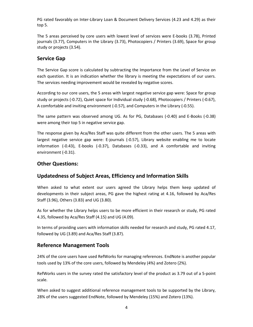PG rated favorably on Inter-Library Loan & Document Delivery Services (4.23 and 4.29) as their top 5.

The 5 areas perceived by core users with lowest level of services were E-books (3.78), Printed journals (3.77), Computers in the Library (3.73), Photocopiers / Printers (3.69), Space for group study or projects (3.54).

## **Service Gap**

The Service Gap score is calculated by subtracting the Importance from the Level of Service on each question. It is an indication whether the library is meeting the expectations of our users. The services needing improvement would be revealed by negative scores.

According to our core users, the 5 areas with largest negative service gap were: Space for group study or projects (-0.72), Quiet space for Individual study (-0.68), Photocopiers / Printers (-0.67), A comfortable and inviting environment (-0.57), and Computers in the Library (-0.55).

The same pattern was observed among UG. As for PG, Databases (-0.40) and E-Books (-0.38) were among their top 5 in negative service gap.

The response given by Aca/Res Staff was quite different from the other users. The 5 areas with largest negative service gap were: E-journals (-0.57), Library website enabling me to locate information (-0.43), E-books (-0.37), Databases (-0.33), and A comfortable and inviting environment (-0.31).

#### **Other Questions:**

#### **Updatedness of Subject Areas, Efficiency and Information Skills**

When asked to what extent our users agreed the Library helps them keep updated of developments in their subject areas, PG gave the highest rating at 4.16, followed by Aca/Res Staff (3.96), Others (3.83) and UG (3.80).

As for whether the Library helps users to be more efficient in their research or study, PG rated 4.35, followed by Aca/Res Staff (4.15) and UG (4.09).

In terms of providing users with information skills needed for research and study, PG rated 4.17, followed by UG (3.89) and Aca/Res Staff (3.87).

#### **Reference Management Tools**

24% of the core users have used RefWorks for managing references. EndNote is another popular tools used by 13% of the core users, followed by Mendeley (4%) and Zotero (2%).

RefWorks users in the survey rated the satisfactory level of the product as 3.79 out of a 5-point scale.

When asked to suggest additional reference management tools to be supported by the Library, 28% of the users suggested EndNote, followed by Mendeley (15%) and Zotero (13%).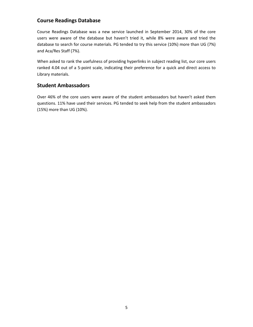#### **Course Readings Database**

Course Readings Database was a new service launched in September 2014, 30% of the core users were aware of the database but haven't tried it, while 8% were aware and tried the database to search for course materials. PG tended to try this service (10%) more than UG (7%) and Aca/Res Staff (7%).

When asked to rank the usefulness of providing hyperlinks in subject reading list, our core users ranked 4.04 out of a 5-point scale, indicating their preference for a quick and direct access to Library materials.

#### **Student Ambassadors**

Over 46% of the core users were aware of the student ambassadors but haven't asked them questions. 11% have used their services. PG tended to seek help from the student ambassadors (15%) more than UG (10%).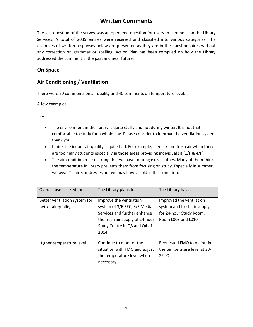# **Written Comments**

The last question of the survey was an open-end question for users to comment on the Library Services. A total of 2035 entries were received and classified into various categories. The examples of written responses below are presented as they are in the questionnaires without any correction on grammar or spelling. Action Plan has been compiled on how the Library addressed the comment in the past and near future.

#### **On Space**

#### **Air Conditioning / Ventilation**

There were 50 comments on air quality and 40 comments on temperature level.

A few examples:

- The environment in the library is quite stuffy and hot during winter. It is not that comfortable to study for a whole day. Please consider to improve the ventilation system, thank you.
- I think the indoor air quality is quite bad. For example, I feel like no fresh air when there are too many students especially in those areas providing individual sit (1/F & 4/F).
- The air-conditioner is so strong that we have to bring extra clothes. Many of them think the temperature in library prevents them from focusing on study. Especially in summer, we wear T-shirts or dresses but we may have a cold in this condition.

| Overall, users asked for                            | The Library plans to                                                                                                                                               | The Library has                                                                                          |
|-----------------------------------------------------|--------------------------------------------------------------------------------------------------------------------------------------------------------------------|----------------------------------------------------------------------------------------------------------|
| Better ventilation system for<br>better air quality | Improve the ventilation<br>system of 3/F REC, 3/F Media<br>Services and further enhance<br>the fresh air supply of 24-hour<br>Study Centre in Q3 and Q4 of<br>2014 | Improved the ventilation<br>system and fresh air supply<br>for 24-hour Study Room,<br>Room L003 and L010 |
| Higher temperature level                            | Continue to monitor the<br>situation with FMO and adjust<br>the temperature level where<br>necessary                                                               | Requested FMO to maintain<br>the temperature level at 23-<br>25 °C                                       |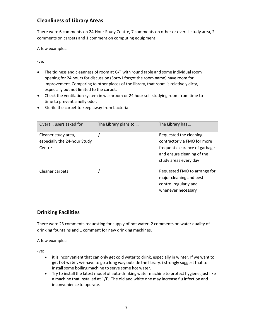## **Cleanliness of Library Areas**

There were 6 comments on 24-Hour Study Centre, 7 comments on other or overall study area, 2 comments on carpets and 1 comment on computing equipment

A few examples:

-ve:

- The tidiness and cleanness of room at G/F with round table and some individual room opening for 24 hours for discussion (Sorry I forgot the room name) have room for improvement. Comparing to other places of the library, that room is relatively dirty, especially but not limited to the carpet.
- Check the ventilation system in washroom or 24 hour self studying room from time to time to prevent smelly odor.

| Overall, users asked for                                      | The Library plans to | The Library has                                                                                                                               |
|---------------------------------------------------------------|----------------------|-----------------------------------------------------------------------------------------------------------------------------------------------|
| Cleaner study area,<br>especially the 24-hour Study<br>Centre |                      | Requested the cleaning<br>contractor via FMO for more<br>frequent clearance of garbage<br>and ensure cleaning of the<br>study areas every day |
| Cleaner carpets                                               |                      | Requested FMO to arrange for<br>major cleaning and pest<br>control regularly and<br>whenever necessary                                        |

• Sterile the carpet to keep away from bacteria

## **Drinking Facilities**

There were 23 comments requesting for supply of hot water, 2 comments on water quality of drinking fountains and 1 comment for new drinking machines.

A few examples:

- it is inconvenient that can only get cold water to drink, especially in winter. If we want to get hot water, we have to go a long way outside the library. i strongly suggest that to install some boiling machine to serve some hot water.
- Try to install the latest model of auto-drinking water machine to protect hygiene, just like a machine that installed at 1/F. The old and white one may increase flu infection and inconvenience to operate.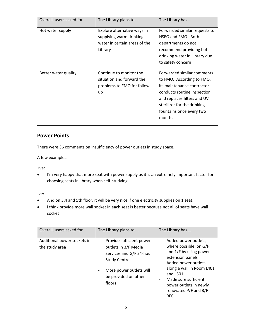| Overall, users asked for | The Library plans to                                                                               | The Library has                                                                                                                                                                                                          |
|--------------------------|----------------------------------------------------------------------------------------------------|--------------------------------------------------------------------------------------------------------------------------------------------------------------------------------------------------------------------------|
| Hot water supply         | Explore alternative ways in<br>supplying warm drinking<br>water in certain areas of the<br>Library | Forwarded similar requests to<br>HSEO and FMO. Both<br>departments do not<br>recommend providing hot<br>drinking water in Library due<br>to safety concern                                                               |
| Better water quality     | Continue to monitor the<br>situation and forward the<br>problems to FMO for follow-<br>up          | Forwarded similar comments<br>to FMO. According to FMO,<br>its maintenance contractor<br>conducts routine inspection<br>and replaces filters and UV<br>sterilizer for the drinking<br>fountains once every two<br>months |

## **Power Points**

There were 36 comments on insufficiency of power outlets in study space.

A few examples:

+ve:

• I'm very happy that more seat with power supply as it is an extremely important factor for choosing seats in library when self-studying.

- And on 3,4 and 5th floor, it will be very nice if one electricity supplies on 1 seat.
- i think provide more wall socket in each seat is better because not all of seats have wall socket

| Overall, users asked for                      | The Library plans to                                                                                                                                                                         | The Library has                                                                                                                                                                                                                                                                                                                     |
|-----------------------------------------------|----------------------------------------------------------------------------------------------------------------------------------------------------------------------------------------------|-------------------------------------------------------------------------------------------------------------------------------------------------------------------------------------------------------------------------------------------------------------------------------------------------------------------------------------|
| Additional power sockets in<br>the study area | Provide sufficient power<br>$\overline{\phantom{a}}$<br>outlets in 3/F Media<br>Services and G/F 24-hour<br><b>Study Centre</b><br>More power outlets will<br>be provided on other<br>floors | Added power outlets,<br>$\qquad \qquad -$<br>where possible, on G/F<br>and 1/F by using power<br>extension panels<br>Added power outlets<br>$\overline{\phantom{a}}$<br>along a wall in Room L401<br>and L501.<br>Made sure sufficient<br>$\overline{\phantom{a}}$<br>power outlets in newly<br>renovated P/F and 3/F<br><b>REC</b> |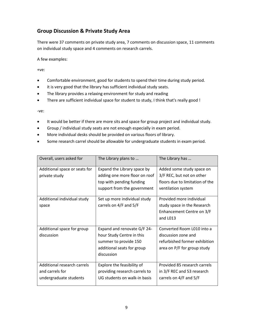## **Group Discussion & Private Study Area**

There were 37 comments on private study area, 7 comments on discussion space, 11 comments on individual study space and 4 comments on research carrels.

A few examples:

+ve:

- Comfortable environment, good for students to spend their time during study period.
- it is very good that the library has sufficient individual study seats.
- The library provides a relaxing environment for study and reading
- There are sufficient individual space for student to study, I think that's really good !

- It would be better if there are more sits and space for group project and individual study.
- Group / individual study seats are not enough especially in exam period.
- More individual desks should be provided on various floors of library.
- Some research carrel should be allowable for undergraduate students in exam period.

| Overall, users asked for      | The Library plans to          | The Library has                 |
|-------------------------------|-------------------------------|---------------------------------|
| Additional space or seats for | Expand the Library space by   | Added some study space on       |
| private study                 | adding one more floor on roof | 3/F REC, but not on other       |
|                               | top with pending funding      | floors due to limitation of the |
|                               | support from the government   | ventilation system              |
| Additional individual study   | Set up more individual study  | Provided more individual        |
| space                         | carrels on 4/F and 5/F        | study space in the Research     |
|                               |                               | Enhancement Centre on 3/F       |
|                               |                               | and L013                        |
| Additional space for group    | Expand and renovate G/F 24-   | Converted Room L010 into a      |
| discussion                    | hour Study Centre in this     | discussion zone and             |
|                               | summer to provide 150         | refurbished former exhibition   |
|                               | additional seats for group    | area on P/F for group study     |
|                               | discussion                    |                                 |
| Additional research carrels   | Explore the feasibility of    | Provided 85 research carrels    |
| and carrels for               | providing research carrels to | in 3/F REC and 53 research      |
| undergraduate students        | UG students on walk-in basis  | carrels on 4/F and 5/F          |
|                               |                               |                                 |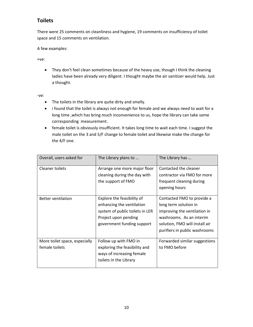## **Toilets**

There were 25 comments on cleanliness and hygiene, 19 comments on insufficiency of toilet space and 15 comments on ventilation.

A few examples:

+ve:

• They don't feel clean sometimes because of the heavy use, though I think the cleaning ladies have been already very diligent. I thought maybe the air sanitizer would help. Just a thought.

- The toilets in the library are quite dirty and smelly.
- i found that the toilet is always not enough for female and we always need to wait for a long time ,which has bring much inconvenience to us, hope the library can take some corresponding measurement.
- female toilet is obviously insufficient. It takes long time to wait each time. I suggest the male toilet on the 3 and 5/F change to female toilet and likewise make the change for the 4/F one.

| Overall, users asked for                        | The Library plans to                                                                                                                             | The Library has                                                                                                                                                                    |
|-------------------------------------------------|--------------------------------------------------------------------------------------------------------------------------------------------------|------------------------------------------------------------------------------------------------------------------------------------------------------------------------------------|
| <b>Cleaner toilets</b>                          | Arrange one more major floor<br>cleaning during the day with<br>the support of FMO                                                               | Contacted the cleaner<br>contractor via FMO for more<br>frequent cleaning during                                                                                                   |
|                                                 |                                                                                                                                                  | opening hours                                                                                                                                                                      |
| <b>Better ventilation</b>                       | Explore the feasibility of<br>enhancing the ventilation<br>system of public toilets in LER<br>Project upon pending<br>government funding support | Contacted FMO to provide a<br>long term solution in<br>improving the ventilation in<br>washrooms. As an interim<br>solution, FMO will install air<br>purifiers in public washrooms |
| More toilet space, especially<br>female toilets | Follow up with FMO in<br>exploring the feasibility and<br>ways of increasing female<br>toilets in the Library                                    | Forwarded similar suggestions<br>to FMO before                                                                                                                                     |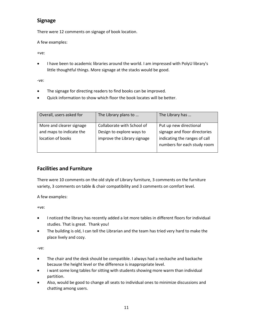## **Signage**

There were 12 comments on signage of book location.

A few examples:

+ve:

• I have been to academic libraries around the world. I am impressed with PolyU library's little thoughtful things. More signage at the stacks would be good.

-ve:

- The signage for directing readers to find books can be improved.
- Quick information to show which floor the book locates will be better.

| Overall, users asked for                             | The Library plans to                                    | The Library has                                              |
|------------------------------------------------------|---------------------------------------------------------|--------------------------------------------------------------|
| More and clearer signage<br>and maps to indicate the | Collaborate with School of<br>Design to explore ways to | Put up new directional<br>signage and floor directories      |
| location of books                                    | improve the Library signage                             | indicating the ranges of call<br>numbers for each study room |

## **Facilities and Furniture**

There were 10 comments on the old style of Library furniture, 3 comments on the furniture variety, 3 comments on table & chair compatibility and 3 comments on comfort level.

A few examples:

+ve:

- I noticed the library has recently added a lot more tables in different floors for individual studies. That is great. Thank you!
- The building is old, I can tell the Librarian and the team has tried very hard to make the place lively and cozy.

- The chair and the desk should be compatible. I always had a neckache and backache because the height level or the difference is inappropriate level.
- i want some long tables for sitting with students showing more warm than individual partition.
- Also, would be good to change all seats to individual ones to minimize discussions and chatting among users.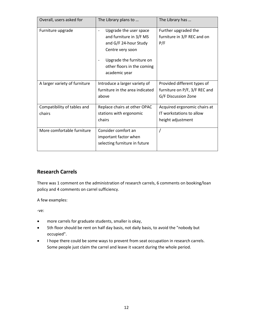| Overall, users asked for              | The Library plans to                                                                                                                                                                                                        | The Library has                                                                     |
|---------------------------------------|-----------------------------------------------------------------------------------------------------------------------------------------------------------------------------------------------------------------------------|-------------------------------------------------------------------------------------|
| Furniture upgrade                     | Upgrade the user space<br>$\qquad \qquad \blacksquare$<br>and furniture in 3/F MS<br>and G/F 24-hour Study<br>Centre very soon<br>Upgrade the furniture on<br>$\overline{a}$<br>other floors in the coming<br>academic year | Further upgraded the<br>furniture in 3/F REC and on<br>P/F                          |
| A larger variety of furniture         | Introduce a larger variety of<br>furniture in the area indicated<br>above                                                                                                                                                   | Provided different types of<br>furniture on P/F, 3/F REC and<br>G/F Discussion Zone |
| Compatibility of tables and<br>chairs | Replace chairs at other OPAC<br>stations with ergonomic<br>chairs                                                                                                                                                           | Acquired ergonomic chairs at<br>IT workstations to allow<br>height adjustment       |
| More comfortable furniture            | Consider comfort an<br>important factor when<br>selecting furniture in future                                                                                                                                               |                                                                                     |

## **Research Carrels**

There was 1 comment on the administration of research carrels, 6 comments on booking/loan policy and 4 comments on carrel sufficiency.

A few examples:

- more carrels for graduate students, smaller is okay,
- 5th floor should be rent on half day basis, not daily basis, to avoid the "nobody but occupied".
- I hope there could be some ways to prevent from seat occupation in research carrels. Some people just claim the carrel and leave it vacant during the whole period.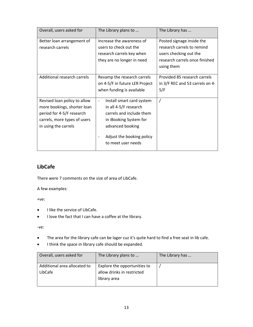| Overall, users asked for                                                                                                                         | The Library plans to                                                                                                                                                            | The Library has                                                                                                                   |
|--------------------------------------------------------------------------------------------------------------------------------------------------|---------------------------------------------------------------------------------------------------------------------------------------------------------------------------------|-----------------------------------------------------------------------------------------------------------------------------------|
| Better loan arrangement of<br>research carrels                                                                                                   | Increase the awareness of<br>users to check out the<br>research carrels key when<br>they are no longer in need                                                                  | Posted signage inside the<br>research carrels to remind<br>users checking out the<br>research carrels once finished<br>using them |
| Additional research carrels                                                                                                                      | Revamp the research carrels<br>on 4-5/F in future LER Project<br>when funding is available                                                                                      | Provided 85 research carrels<br>in 3/F REC and 53 carrels on 4-<br>5/F                                                            |
| Revised loan policy to allow<br>more bookings, shorter loan<br>period for 4-5/F research<br>carrels, more types of users<br>in using the carrels | Install smart card system<br>in all 4-5/F research<br>carrels and include them<br>in iBooking System for<br>advanced booking<br>Adjust the booking policy<br>to meet user needs | $\prime$                                                                                                                          |

# **LibCafe**

There were 7 comments on the size of area of LibCafe.

A few examples:

+ve:

- I like the service of LibCafe.
- I love the fact that I can have a coffee at the library.

- The area for the library cafe can be lager cuz it's quite hard to find a free seat in lib cafe.
- I think the space in library cafe should be expanded.

| Overall, users asked for     | The Library plans to         | The Library has |
|------------------------------|------------------------------|-----------------|
| Additional area allocated to | Explore the opportunities to |                 |
| LibCafe                      | allow drinks in restricted   |                 |
|                              | library area                 |                 |
|                              |                              |                 |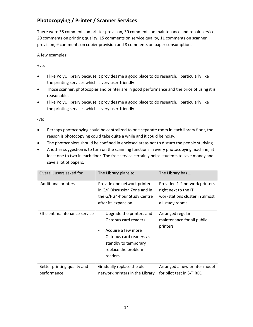# **Photocopying / Printer / Scanner Services**

There were 38 comments on printer provision, 30 comments on maintenance and repair service, 20 comments on printing quality, 15 comments on service quality, 11 comments on scanner provision, 9 comments on copier provision and 8 comments on paper consumption.

A few examples:

+ve:

- I like PolyU library because it provides me a good place to do research. I particularly like the printing services which is very user-friendly!
- Those scanner, photocopier and printer are in good performance and the price of using it is reasonable.
- I like PolyU library because it provides me a good place to do research. I particularly like the printing services which is very user-friendly!

- Perhaps photocopying could be centralized to one separate room in each library floor, the reason is photocopying could take quite a while and it could be noisy.
- The photocopiers should be confined in enclosed areas not to disturb the people studying.
- Another suggestion is to turn on the scanning functions in every photocopying machine, at least one to two in each floor. The free service certainly helps students to save money and save a lot of papers.

| Overall, users asked for                                    | The Library plans to                                                                                                                                                        | The Library has                                                                                                                |
|-------------------------------------------------------------|-----------------------------------------------------------------------------------------------------------------------------------------------------------------------------|--------------------------------------------------------------------------------------------------------------------------------|
| <b>Additional printers</b><br>Efficient maintenance service | Provide one network printer<br>in G/F Discussion Zone and in<br>the G/F 24-hour Study Centre<br>after its expansion<br>Upgrade the printers and<br>$\overline{\phantom{a}}$ | Provided 1-2 network printers<br>right next to the IT<br>workstations cluster in almost<br>all study rooms<br>Arranged regular |
|                                                             | Octopus card readers<br>Acquire a few more<br>Octopus card readers as<br>standby to temporary<br>replace the problem<br>readers                                             | maintenance for all public<br>printers                                                                                         |
| Better printing quality and<br>performance                  | Gradually replace the old<br>network printers in the Library                                                                                                                | Arranged a new printer model<br>for pilot test in 3/F REC                                                                      |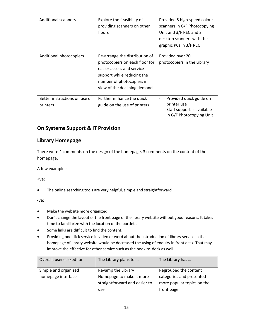| <b>Additional scanners</b>                | Explore the feasibility of<br>providing scanners on other<br>floors                                                                                                                      | Provided 5 high-speed colour<br>scanners in G/F Photocopying<br>Unit and 3/F REC and 2<br>desktop scanners with the<br>graphic PCs in 3/F REC |
|-------------------------------------------|------------------------------------------------------------------------------------------------------------------------------------------------------------------------------------------|-----------------------------------------------------------------------------------------------------------------------------------------------|
| Additional photocopiers                   | Re-arrange the distribution of<br>photocopiers on each floor for<br>easier access and service<br>support while reducing the<br>number of photocopiers in<br>view of the declining demand | Provided over 20<br>photocopiers in the Library                                                                                               |
| Better instructions on use of<br>printers | Further enhance the quick<br>guide on the use of printers                                                                                                                                | Provided quick guide on<br>$\overline{\phantom{a}}$<br>printer use<br>Staff support is available<br>in G/F Photocopying Unit                  |

#### **On Systems Support & IT Provision**

#### **Library Homepage**

There were 4 comments on the design of the homepage, 3 comments on the content of the homepage.

A few examples:

+ve:

• The online searching tools are very helpful, simple and straightforward.

- Make the website more organized.
- Don't change the layout of the front page of the library website without good reasons. It takes time to familiarize with the location of the portlets.
- Some links are difficult to find the content.
- Providing one click service in video or word about the introduction of library service in the homepage of library website would be decreased the using of enquiry in front desk. That may improve the effective for other service such as the book re-dock as well.

| Overall, users asked for | The Library plans to                                             | The Library has                                                      |
|--------------------------|------------------------------------------------------------------|----------------------------------------------------------------------|
| Simple and organized     | Revamp the Library                                               | Regrouped the content                                                |
| homepage interface       | Homepage to make it more<br>straightforward and easier to<br>use | categories and presented<br>more popular topics on the<br>front page |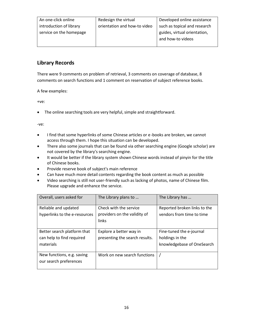| An one-click online     | Redesign the virtual         | Developed online assistance  |
|-------------------------|------------------------------|------------------------------|
| introduction of library | orientation and how-to video | such as topical and research |
| service on the homepage |                              | guides, virtual orientation, |
|                         |                              | and how-to videos            |
|                         |                              |                              |

#### **Library Records**

There were 9 comments on problem of retrieval, 3 comments on coverage of database, 8 comments on search functions and 1 comment on reservation of subject reference books.

A few examples:

+ve:

• The online searching tools are very helpful, simple and straightforward.

- I find that some hyperlinks of some Chinese articles or e-books are broken, we cannot access through them. I hope this situation can be developed.
- There also some journals that can be found via other searching engine (Google scholar) are not covered by the library's searching engine.
- It would be better if the library system shown Chinese words instead of pinyin for the title of Chinese books.
- Provide reserve book of subject's main reference
- Can have much more detail contents regarding the book content as much as possible
- Video searching is still not user-friendly such as lacking of photos, name of Chinese film. Please upgrade and enhance the service.

| Overall, users asked for      | The Library plans to           | The Library has              |
|-------------------------------|--------------------------------|------------------------------|
| Reliable and updated          | Check with the service         | Reported broken links to the |
| hyperlinks to the e-resources | providers on the validity of   | vendors from time to time    |
|                               | links                          |                              |
|                               |                                |                              |
| Better search platform that   | Explore a better way in        | Fine-tuned the e-journal     |
| can help to find required     | presenting the search results. | holdings in the              |
| materials                     |                                | knowledgebase of OneSearch   |
|                               |                                |                              |
| New functions, e.g. saving    | Work on new search functions   |                              |
| our search preferences        |                                |                              |
|                               |                                |                              |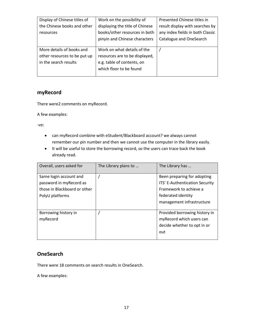| Display of Chinese titles of | Work on the possibility of      | Presented Chinese titles in      |
|------------------------------|---------------------------------|----------------------------------|
| the Chinese books and other  | displaying the title of Chinese | result display with searches by  |
| resources                    | books/other resources in both   | any index fields in both Classic |
|                              | pinyin and Chinese characters   | Catalogue and OneSearch          |
|                              |                                 |                                  |
| More details of books and    | Work on what details of the     |                                  |
| other resources to be put up | resources are to be displayed,  |                                  |
| in the search results        | e.g. table of contents, on      |                                  |
|                              | which floor to be found         |                                  |
|                              |                                 |                                  |

#### **myRecord**

There were2 comments on myRecord.

A few examples:

-ve:

- can myRecord combine with eStudent/Blackboard account? we always cannot remember our pin number and then we cannot use the computer in the library easily.
- It will be useful to store the borrowing record, so the users can trace back the book already read.

| Overall, users asked for                                                                             | The Library plans to | The Library has                                                                                                                            |
|------------------------------------------------------------------------------------------------------|----------------------|--------------------------------------------------------------------------------------------------------------------------------------------|
| Same login account and<br>password in myRecord as<br>those in Blackboard or other<br>PolyU platforms |                      | Been preparing for adopting<br>ITS' E-Authentication Security<br>Framework to achieve a<br>federated identity<br>management infrastructure |
| Borrowing history in<br>myRecord                                                                     |                      | Provided borrowing history in<br>myRecord which users can<br>decide whether to opt in or<br>out                                            |

#### **OneSearch**

There were 18 comments on search results in OneSearch.

A few examples: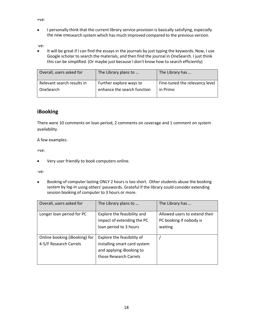+ve:

• I personally think that the current library service provision is basically satisfying, especially the new onesearch system which has much improved compared to the previous version.

-ve:

• It will be great if I can find the essays in the journals by just typing the keywords. Now, I use Google scholar to search the materials, and then find the journal in OneSearch. I just think this can be simplified. (Or maybe just because I don't know how to search efficiently)

| Overall, users asked for   | The Library plans to        | The Library has                |
|----------------------------|-----------------------------|--------------------------------|
| Relevant search results in | Further explore ways to     | Fine-tuned the relevancy level |
| OneSearch                  | enhance the search function | in Primo                       |

#### **iBooking**

There were 10 comments on loan period, 2 comments on coverage and 1 comment on system availability.

A few examples:

+ve:

• Very user friendly to book computers online.

-ve:

• Booking of computer lasting ONLY 2 hours is too short. Other students abuse the booking system by log-in using others' passwords. Grateful if the library could consider extending session booking of computer to 3 hours or more.

| Overall, users asked for                                | The Library plans to                                                                                             | The Library has                                                     |
|---------------------------------------------------------|------------------------------------------------------------------------------------------------------------------|---------------------------------------------------------------------|
| Longer loan period for PC                               | Explore the feasibility and<br>impact of extending the PC<br>loan period to 3 hours                              | Allowed users to extend their<br>PC booking if nobody is<br>waiting |
| Online booking (iBooking) for<br>4-5/F Research Carrels | Explore the feasibility of<br>installing smart card system<br>and applying iBooking to<br>those Research Carrels |                                                                     |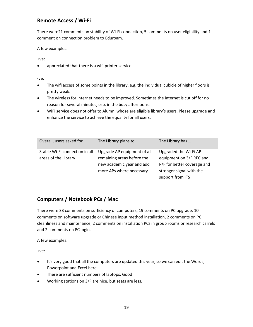## **Remote Access / Wi-Fi**

There were21 comments on stability of Wi-Fi connection, 5 comments on user eligibility and 1 comment on connection problem to Eduroam.

A few examples:

+ve:

• appreciated that there is a wifi printer service.

-ve:

- The wifi access of some points in the library, e.g. the individual cubicle of higher floors is pretty weak.
- The wireless for internet needs to be improved. Sometimes the internet is cut off for no reason for several minutes, esp. in the busy afternoons.
- WiFi service does not offer to Alumni whose are eligible library's users. Please upgrade and enhance the service to achieve the equality for all users.

| Overall, users asked for                               | The Library plans to                                                                                               | The Library has                                                                                                                  |
|--------------------------------------------------------|--------------------------------------------------------------------------------------------------------------------|----------------------------------------------------------------------------------------------------------------------------------|
| Stable Wi-Fi connection in all<br>areas of the Library | Upgrade AP equipment of all<br>remaining areas before the<br>new academic year and add<br>more APs where necessary | Upgraded the Wi-Fi AP<br>equipment on 3/F REC and<br>P/F for better coverage and<br>stronger signal with the<br>support from ITS |

## **Computers / Notebook PCs / Mac**

There were 33 comments on sufficiency of computers, 19 comments on PC upgrade, 10 comments on software upgrade or Chinese input method installation, 2 comments on PC cleanliness and maintenance, 2 comments on installation PCs in group rooms or research carrels and 2 comments on PC login.

A few examples:

+ve:

- It's very good that all the computers are updated this year, so we can edit the Words, Powerpoint and Excel here.
- There are sufficient numbers of laptops. Good!
- Working stations on 3/F are nice, but seats are less.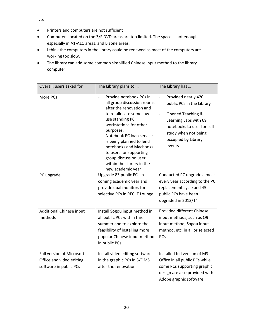- Printers and computers are not sufficient
- Computers located on the 3/F DVD areas are too limited. The space is not enough especially in A1-A11 areas, and B zone areas.
- I think the computers in the library could be renewed as most of the computers are working too slow.
- The library can add some common simplified Chinese input method to the library computer!

| Overall, users asked for                                                        | The Library plans to                                                                                                                                                                                                                                                                                                                                                              | The Library has                                                                                                                                                                                                            |
|---------------------------------------------------------------------------------|-----------------------------------------------------------------------------------------------------------------------------------------------------------------------------------------------------------------------------------------------------------------------------------------------------------------------------------------------------------------------------------|----------------------------------------------------------------------------------------------------------------------------------------------------------------------------------------------------------------------------|
| More PCs                                                                        | Provide notebook PCs in<br>$\overline{a}$<br>all group discussion rooms<br>after the renovation and<br>to re-allocate some low-<br>use standing PC<br>workstations for other<br>purposes.<br>Notebook PC loan service<br>is being planned to lend<br>notebooks and Macbooks<br>to users for supporting<br>group discussion user<br>within the Library in the<br>new academic year | Provided nearly 420<br>$\overline{a}$<br>public PCs in the Library<br>Opened Teaching &<br>$\overline{a}$<br>Learning Labs with 69<br>notebooks to user for self-<br>study when not being<br>occupied by Library<br>events |
| PC upgrade                                                                      | Upgrade 83 public PCs in<br>coming academic year and<br>provide dual monitors for<br>selective PCs in REC IT Lounge                                                                                                                                                                                                                                                               | Conducted PC upgrade almost<br>every year according to the PC<br>replacement cycle and 45<br>public PCs have been<br>upgraded in 2013/14                                                                                   |
| <b>Additional Chinese input</b><br>methods                                      | Install Sogou input method in<br>all public PCs within this<br>summer and to explore the<br>feasibility of installing more<br>popular Chinese input method<br>in public PCs                                                                                                                                                                                                       | Provided different Chinese<br>input methods, such as Q9<br>input method, Sogou input<br>method, etc. in all or selected<br>PCs                                                                                             |
| Full version of Microsoft<br>Office and video editing<br>software in public PCs | Install video editing software<br>in the graphic PCs in 3/F MS<br>after the renovation                                                                                                                                                                                                                                                                                            | Installed full version of MS<br>Office in all public PCs while<br>some PCs supporting graphic<br>design are also provided with<br>Adobe graphic software                                                                   |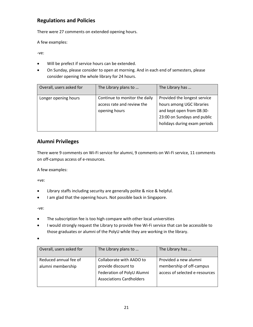## **Regulations and Policies**

There were 27 comments on extended opening hours.

A few examples:

-ve:

- Will be prefect if service hours can be extended.
- On Sunday, please consider to open at morning. And in each end of semesters, please consider opening the whole library for 24 hours.

| Overall, users asked for | The Library plans to                                                         | The Library has                                                                                                                                       |
|--------------------------|------------------------------------------------------------------------------|-------------------------------------------------------------------------------------------------------------------------------------------------------|
| Longer opening hours     | Continue to monitor the daily<br>access rate and review the<br>opening hours | Provided the longest service<br>hours among UGC libraries<br>and kept open from 08:30-<br>23:00 on Sundays and public<br>holidays during exam periods |
|                          |                                                                              |                                                                                                                                                       |

## **Alumni Privileges**

There were 9 comments on Wi-Fi service for alumni, 9 comments on Wi-Fi service, 11 comments on off-campus access of e-resources.

A few examples:

+ve:

- Library staffs including security are generally polite & nice & helpful.
- I am glad that the opening hours. Not possible back in Singapore.

-ve:

- The subscription fee is too high compare with other local universities
- I would strongly request the Library to provide free Wi-Fi service that can be accessible to those graduates or alumni of the PolyU while they are working in the library.

•

| Overall, users asked for                   | The Library plans to                                                                                             | The Library has                                                                     |
|--------------------------------------------|------------------------------------------------------------------------------------------------------------------|-------------------------------------------------------------------------------------|
| Reduced annual fee of<br>alumni membership | Collaborate with AADO to<br>provide discount to<br>Federation of PolyU Alumni<br><b>Associations Cardholders</b> | Provided a new alumni<br>membership of off-campus<br>access of selected e-resources |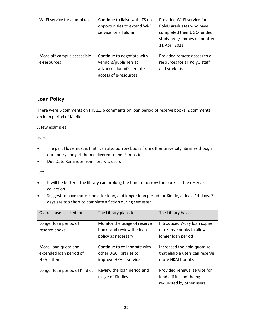| Wi-Fi service for alumni use | Continue to liaise with ITS on | Provided Wi-Fi service for    |
|------------------------------|--------------------------------|-------------------------------|
|                              | opportunities to extend Wi-Fi  | PolyU graduates who have      |
|                              | service for all alumni         | completed their UGC-funded    |
|                              |                                | study programmes on or after  |
|                              |                                | 11 April 2011                 |
|                              |                                |                               |
| More off-campus accessible   | Continue to negotiate with     | Provided remote access to e-  |
| e-resources                  | vendors/publishers to          | resources for all PolyU staff |
|                              | advance alumni's remote        | and students                  |
|                              | access of e-resources          |                               |
|                              |                                |                               |

## **Loan Policy**

There were 6 comments on HKALL, 6 comments on loan period of reserve books, 2 comments on loan period of Kindle.

A few examples:

+ve:

- The part I love most is that I can also borrow books from other university libraries though our library and get them delivered to me. Fantastic!
- Due Date Reminder from library is useful.

- It will be better if the library can prolong the time to borrow the books in the reserve collection.
- Suggest to have more Kindle for loan, and longer loan period for Kindle, at least 14 days, 7 days are too short to complete a fiction during semester.

| Overall, users asked for      | The Library plans to         | The Library has                 |
|-------------------------------|------------------------------|---------------------------------|
| Longer loan period of         | Monitor the usage of reserve | Introduced 7-day loan copies    |
| reserve books                 | books and review the loan    | of reserve books to allow       |
|                               | policy as necessary          | longer loan period              |
|                               |                              |                                 |
| More Loan quota and           | Continue to collaborate with | Increased the hold quota so     |
| extended loan period of       | other UGC libraries to       | that eligible users can reserve |
| <b>HKALL</b> items            | improve HKALL service        | more HKALL books                |
|                               |                              |                                 |
| Longer loan period of Kindles | Review the loan period and   | Provided renewal service for    |
|                               | usage of Kindles             | Kindle if it is not being       |
|                               |                              | requested by other users        |
|                               |                              |                                 |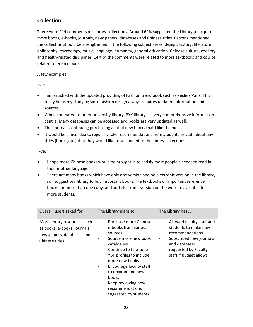# **Collection**

There were 214 comments on Library collections. Around 64% suggested the Library to acquire more books, e-books, journals, newspapers, databases and Chinese titles. Patrons mentioned the collection should be strengthened in the following subject areas: design, history, literature, philosophy, psychology, music, language, humanity, general education, Chinese culture, cookery, and health-related disciplines. 14% of the comments were related to more textbooks and course related reference books.

A few examples:

+ve:

- I am satisfied with the updated providing of Fashion trend book such as Peclers Paris. This really helps my studying since fashion design always requires updated information and sources.
- When compared to other university library, PYK library is a very comprehensive information centre. Many databases can be accessed and books are very updated as well.
- The library is continuing purchasing a lot of new books that I like the most.
- It would be a nice idea to regularly take recommendations from students or staff about any titles (books,etc.) that they would like to see added to the library collections.

- I hope more Chinese books would be brought in to satisfy most people's needs to read in their mother language.
- There are many books which have only one version and no electronic version in the library, so i suggest our library to buy important books, like textbooks or important reference books for more than one copy, and add electronic version on the website available for more students.

| Overall, users asked for                                                                                    | The Library plans to                                                                                                                                                                                                                                                                                                                                                                                                                       | The Library has                                                                                                                                                                                                     |
|-------------------------------------------------------------------------------------------------------------|--------------------------------------------------------------------------------------------------------------------------------------------------------------------------------------------------------------------------------------------------------------------------------------------------------------------------------------------------------------------------------------------------------------------------------------------|---------------------------------------------------------------------------------------------------------------------------------------------------------------------------------------------------------------------|
| More library resources, such<br>as books, e-books, journals,<br>newspapers, databases and<br>Chinese titles | Purchase more Chinese<br>$\overline{\phantom{a}}$<br>e-books from various<br>sources<br>Source more new book<br>$\overline{\phantom{a}}$<br>catalogues<br>Continue to fine-tune<br>$\overline{\phantom{a}}$<br>YBP profiles to include<br>more new books<br>Encourage faculty staff<br>$\overline{\phantom{a}}$<br>to recommend new<br>books<br>Keep reviewing new<br>$\overline{\phantom{a}}$<br>recommendations<br>suggested by students | Allowed faculty staff and<br>$\qquad \qquad -$<br>students to make new<br>recommendations<br>Subscribed new journals<br>$\overline{\phantom{a}}$<br>and databases<br>requested by Faculty<br>staff if budget allows |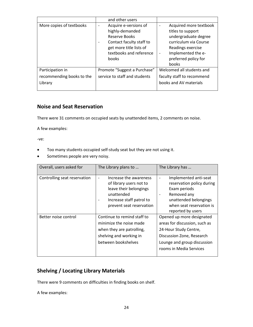|                                                          | and other users                                                                                                                                                                         |                                                                                                                                                                          |
|----------------------------------------------------------|-----------------------------------------------------------------------------------------------------------------------------------------------------------------------------------------|--------------------------------------------------------------------------------------------------------------------------------------------------------------------------|
| More copies of textbooks                                 | Acquire e-versions of<br>$\overline{\phantom{0}}$<br>highly-demanded<br><b>Reserve Books</b><br>Contact faculty staff to<br>get more title lists of<br>textbooks and reference<br>books | Acquired more textbook<br>titles to support<br>undergraduate degree<br>curriculum via Course<br>Readings exercise<br>Implemented the e-<br>preferred policy for<br>books |
| Participation in<br>recommending books to the<br>Library | Promote "Suggest a Purchase"<br>service to staff and students                                                                                                                           | Welcomed all students and<br>faculty staff to recommend<br>books and AV materials                                                                                        |
|                                                          |                                                                                                                                                                                         |                                                                                                                                                                          |

#### **Noise and Seat Reservation**

There were 31 comments on occupied seats by unattended items, 2 comments on noise.

A few examples:

-ve:

- Too many students occupied self-study seat but they are not using it.
- Sometimes people are very noisy.

| Overall, users asked for     | The Library plans to                                                                                                                                                                                   | The Library has                                                                                                                                                               |
|------------------------------|--------------------------------------------------------------------------------------------------------------------------------------------------------------------------------------------------------|-------------------------------------------------------------------------------------------------------------------------------------------------------------------------------|
| Controlling seat reservation | Increase the awareness<br>$\qquad \qquad -$<br>of library users not to<br>leave their belongings<br>unattended<br>Increase staff patrol to<br>$\qquad \qquad \blacksquare$<br>prevent seat reservation | Implemented anti-seat<br>$\overline{a}$<br>reservation policy during<br>Exam periods<br>Removed any<br>unattended belongings<br>when seat reservation is<br>reported by users |
| Better noise control         | Continue to remind staff to<br>minimize the noise made<br>when they are patrolling,<br>shelving and working in<br>between bookshelves                                                                  | Opened up more designated<br>areas for discussion, such as<br>24-Hour Study Centre,<br>Discussion Zone, Research<br>Lounge and group discussion<br>rooms in Media Services    |

## **Shelving / Locating Library Materials**

There were 9 comments on difficulties in finding books on shelf.

A few examples: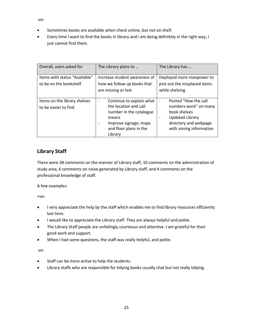- -ve:
- Sometimes books are available when check online, but not on shelf.
- Every time I want to find the books in library and i am doing definitely in the right way, I just cannot find them.

| Overall, users asked for                                | The Library plans to                                                                                                                                                          | The Library has                                                                                                                                                                                     |
|---------------------------------------------------------|-------------------------------------------------------------------------------------------------------------------------------------------------------------------------------|-----------------------------------------------------------------------------------------------------------------------------------------------------------------------------------------------------|
| ltems with status "Available"<br>to be on the bookshelf | Increase student awareness of<br>how we follow up books that<br>are missing or lost                                                                                           | Deployed more manpower to<br>pick out the misplaced items<br>while shelving                                                                                                                         |
| Items on the library shelves<br>to be easier to find    | Continue to explain what<br>$\qquad \qquad -$<br>the location and call<br>number in the catalogue<br>means<br>Improve signage, maps<br>۰<br>and floor plans in the<br>Library | Posted "How the call<br>$\overline{\phantom{a}}$<br>numbers work" on many<br>book shelves<br><b>Updated Library</b><br>$\overline{\phantom{a}}$<br>directory and webpage<br>with zoning information |

## **Library Staff**

There were 38 comments on the manner of Library staff, 10 comments on the administration of study area, 6 comments on noise generated by Library staff, and 4 comments on the professional knowledge of staff.

A few examples:

+ve:

- I very appreciate the help by the staff which enables me to find library resources efficiently last time.
- I would like to appreciate the Library staff. They are always helpful and polite.
- The Library Staff people are unfailingly courteous and attentive. I am grateful for their good work and support.
- When I had some questions, the staff was really helpful, and polite.

- Staff can be more active to help the students.
- Library staffs who are responsible for tidying books usually chat but not really tidying.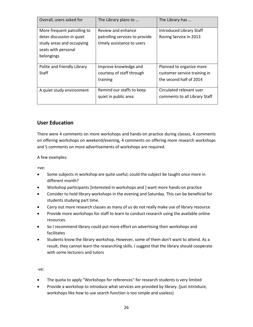| Overall, users asked for    | The Library plans to           | The Library has               |
|-----------------------------|--------------------------------|-------------------------------|
| More frequent patrolling to | Review and enhance             | Introduced Library Staff      |
| deter discussion in quiet   | patrolling services to provide | Roving Service in 2013        |
| study areas and occupying   | timely assistance to users     |                               |
| seats with personal         |                                |                               |
| belongings                  |                                |                               |
|                             |                                |                               |
| Polite and friendly Library | Improve knowledge and          | Planned to organize more      |
| <b>Staff</b>                | courtesy of staff through      | customer service training in  |
|                             | training                       | the second half of 2014       |
|                             |                                |                               |
| A quiet study environment   | Remind our staffs to keep      | Circulated relevant user      |
|                             | quiet in public area           | comments to all Library Staff |
|                             |                                |                               |

#### **User Education**

There were 4 comments on more workshops and hands-on practice during classes, 4 comments on offering workshops on weekend/evening, 4 comments on offering more research workshops and 5 comments on more advertisements of workshops are required.

A few examples:

+ve:

- Some subjects in workshop are quite useful; could the subject be taught once more in different month?
- Workshop participants [interested in workshops and ] want more hands-on practice
- Consider to hold library workshops in the evening and Saturday. This can be beneficial for students studying part time.
- Carry out more research classes as many of us do not really make use of library resource
- Provide more workshops for staff to learn to conduct research using the available online resources.
- So I recommend library could put more effort on advertising their workshops and facilitates
- Students know the library workshop. However, some of them don't want to attend. As a result, they cannot learn the researching skills. I suggest that the library should cooperate with some lecturers and tutors

- The quota to apply "Workshops for references" for research students is very limited
- Provide a workshop to introduce what services are provided by library. (just introduce, workshops like how to use search function is too simple and useless)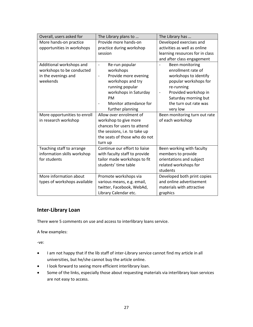| Overall, users asked for     | The Library plans to                             | The Library has                                  |
|------------------------------|--------------------------------------------------|--------------------------------------------------|
| More hands-on practice       | Provide more hands-on                            | Developed exercises and                          |
| opportunities in workshops   | practice during workshop                         | activities as well as online                     |
|                              | session                                          | learning resources for in class                  |
|                              |                                                  | and after class engagement                       |
| Additional workshops and     | Re-run popular<br>$\overline{\phantom{a}}$       | Been monitoring                                  |
| workshops to be conducted    | workshops                                        | enrollment rate of                               |
| in the evenings and          | Provide more evening<br>$\overline{\phantom{a}}$ | workshops to identify                            |
| weekends                     | workshops and try                                | popular workshops for                            |
|                              | running popular                                  | re-running                                       |
|                              | workshops in Saturday                            | Provided workshop in<br>$\overline{\phantom{0}}$ |
|                              | PM                                               | Saturday morning but                             |
|                              | Monitor attendance for                           | the turn out rate was                            |
|                              | further planning                                 | very low                                         |
| More opportunities to enroll | Allow over enrolment of                          | Been monitoring turn out rate                    |
| in research workshop         | workshop to give more                            | of each workshop                                 |
|                              | chances for users to attend                      |                                                  |
|                              | the sessions, i.e. to take up                    |                                                  |
|                              | the seats of those who do not                    |                                                  |
|                              | turn up                                          |                                                  |
| Teaching staff to arrange    | Continue our effort to liaise                    | Been working with faculty                        |
| information skills workshop  | with faculty staff to provide                    | members to provide                               |
| for students                 | tailor made workshops to fit                     | orientations and subject                         |
|                              | students' time table                             | related workshops for                            |
|                              |                                                  | students                                         |
| More information about       | Promote workshops via                            | Developed both print copies                      |
| types of workshops available | various means, e.g. email,                       | and online advertisement                         |
|                              | twitter, Facebook, WebAd,                        | materials with attractive                        |
|                              | Library Calendar etc.                            | graphics                                         |

## **Inter-Library Loan**

There were 5 comments on use and access to interlibrary loans service.

A few examples:

- I am not happy that if the lib staff of inter-Library service cannot find my article in all universities, but he/she cannot buy the article online.
- I look forward to seeing more efficient interlibrary loan.
- Some of the links, especially those about requesting materials via interlibrary loan services are not easy to access.